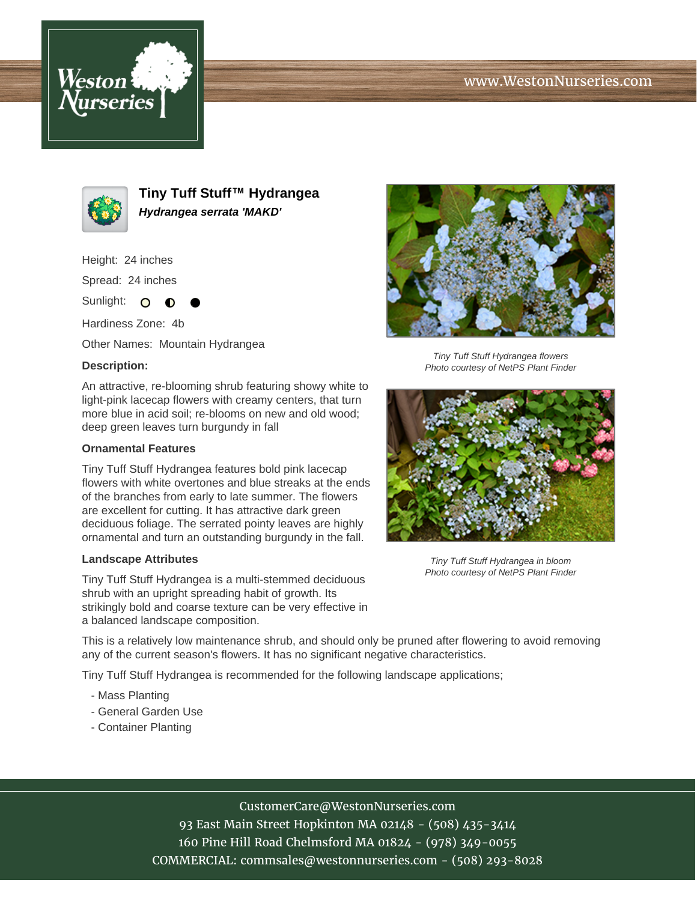# www.WestonNurseries.com





**Tiny Tuff Stuff™ Hydrangea Hydrangea serrata 'MAKD'**

Height: 24 inches

Spread: 24 inches

Sunlight: O **O** 

Hardiness Zone: 4b

Other Names: Mountain Hydrangea

### **Description:**

An attractive, re-blooming shrub featuring showy white to light-pink lacecap flowers with creamy centers, that turn more blue in acid soil; re-blooms on new and old wood; deep green leaves turn burgundy in fall

#### **Ornamental Features**

Tiny Tuff Stuff Hydrangea features bold pink lacecap flowers with white overtones and blue streaks at the ends of the branches from early to late summer. The flowers are excellent for cutting. It has attractive dark green deciduous foliage. The serrated pointy leaves are highly ornamental and turn an outstanding burgundy in the fall.

#### **Landscape Attributes**

Tiny Tuff Stuff Hydrangea is a multi-stemmed deciduous shrub with an upright spreading habit of growth. Its strikingly bold and coarse texture can be very effective in a balanced landscape composition.



Tiny Tuff Stuff Hydrangea flowers Photo courtesy of NetPS Plant Finder



Tiny Tuff Stuff Hydrangea in bloom Photo courtesy of NetPS Plant Finder

This is a relatively low maintenance shrub, and should only be pruned after flowering to avoid removing any of the current season's flowers. It has no significant negative characteristics.

Tiny Tuff Stuff Hydrangea is recommended for the following landscape applications;

- Mass Planting
- General Garden Use
- Container Planting

# CustomerCare@WestonNurseries.com

93 East Main Street Hopkinton MA 02148 - (508) 435-3414 160 Pine Hill Road Chelmsford MA 01824 - (978) 349-0055 COMMERCIAL: commsales@westonnurseries.com - (508) 293-8028